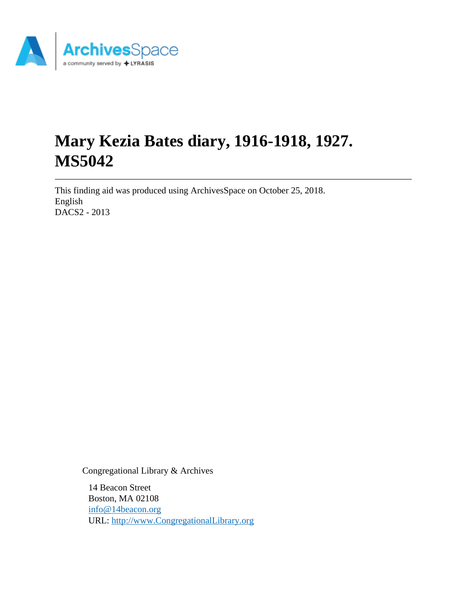

# **Mary Kezia Bates diary, 1916-1918, 1927. MS5042**

This finding aid was produced using ArchivesSpace on October 25, 2018. English DACS2 - 2013

Congregational Library & Archives

14 Beacon Street Boston, MA 02108 [info@14beacon.org](mailto:info@14beacon.org) URL:<http://www.CongregationalLibrary.org>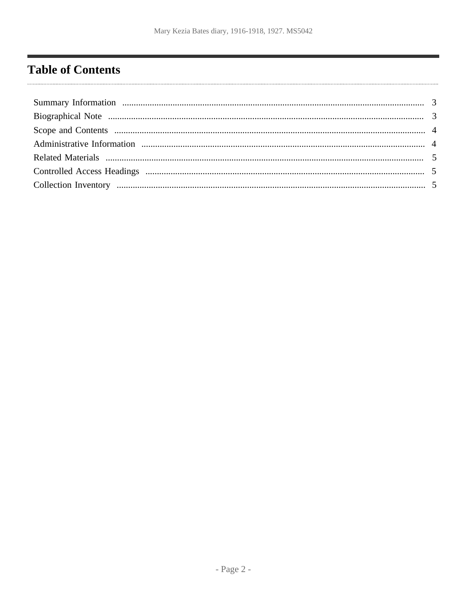# <span id="page-1-0"></span>**Table of Contents**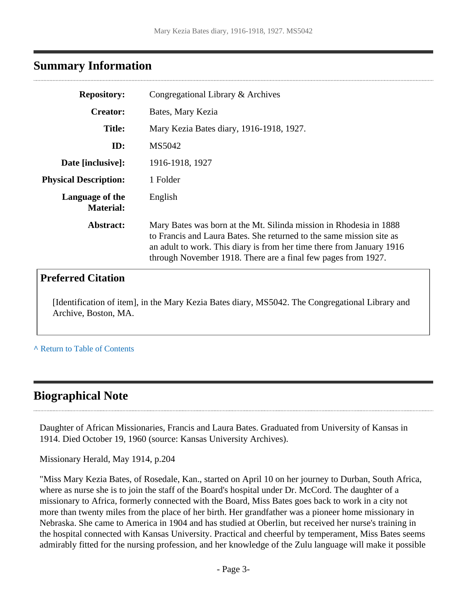### <span id="page-2-0"></span>**Summary Information**

| <b>Repository:</b>                  | Congregational Library & Archives                                                                                                                                                                                                                                                    |
|-------------------------------------|--------------------------------------------------------------------------------------------------------------------------------------------------------------------------------------------------------------------------------------------------------------------------------------|
| <b>Creator:</b>                     | Bates, Mary Kezia                                                                                                                                                                                                                                                                    |
| <b>Title:</b>                       | Mary Kezia Bates diary, 1916-1918, 1927.                                                                                                                                                                                                                                             |
| ID:                                 | MS5042                                                                                                                                                                                                                                                                               |
| Date [inclusive]:                   | 1916-1918, 1927                                                                                                                                                                                                                                                                      |
| <b>Physical Description:</b>        | 1 Folder                                                                                                                                                                                                                                                                             |
| Language of the<br><b>Material:</b> | English                                                                                                                                                                                                                                                                              |
| Abstract:                           | Mary Bates was born at the Mt. Silinda mission in Rhodesia in 1888<br>to Francis and Laura Bates. She returned to the same mission site as<br>an adult to work. This diary is from her time there from January 1916<br>through November 1918. There are a final few pages from 1927. |
| <b>Preferred Citation</b>           |                                                                                                                                                                                                                                                                                      |
| Archive, Boston, MA.                | [Identification of item], in the Mary Kezia Bates diary, MS5042. The Congregational Library and                                                                                                                                                                                      |

**^** [Return to Table of Contents](#page-1-0)

## <span id="page-2-1"></span>**Biographical Note**

Daughter of African Missionaries, Francis and Laura Bates. Graduated from University of Kansas in 1914. Died October 19, 1960 (source: Kansas University Archives).

Missionary Herald, May 1914, p.204

"Miss Mary Kezia Bates, of Rosedale, Kan., started on April 10 on her journey to Durban, South Africa, where as nurse she is to join the staff of the Board's hospital under Dr. McCord. The daughter of a missionary to Africa, formerly connected with the Board, Miss Bates goes back to work in a city not more than twenty miles from the place of her birth. Her grandfather was a pioneer home missionary in Nebraska. She came to America in 1904 and has studied at Oberlin, but received her nurse's training in the hospital connected with Kansas University. Practical and cheerful by temperament, Miss Bates seems admirably fitted for the nursing profession, and her knowledge of the Zulu language will make it possible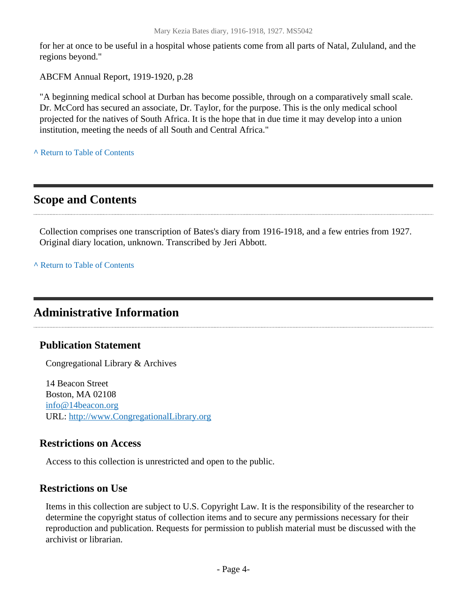for her at once to be useful in a hospital whose patients come from all parts of Natal, Zululand, and the regions beyond."

ABCFM Annual Report, 1919-1920, p.28

"A beginning medical school at Durban has become possible, through on a comparatively small scale. Dr. McCord has secured an associate, Dr. Taylor, for the purpose. This is the only medical school projected for the natives of South Africa. It is the hope that in due time it may develop into a union institution, meeting the needs of all South and Central Africa."

**^** [Return to Table of Contents](#page-1-0)

# <span id="page-3-0"></span>**Scope and Contents**

Collection comprises one transcription of Bates's diary from 1916-1918, and a few entries from 1927. Original diary location, unknown. Transcribed by Jeri Abbott.

**^** [Return to Table of Contents](#page-1-0)

# <span id="page-3-1"></span>**Administrative Information**

#### **Publication Statement**

Congregational Library & Archives

14 Beacon Street Boston, MA 02108 [info@14beacon.org](mailto:info@14beacon.org) URL:<http://www.CongregationalLibrary.org>

#### **Restrictions on Access**

Access to this collection is unrestricted and open to the public.

#### **Restrictions on Use**

Items in this collection are subject to U.S. Copyright Law. It is the responsibility of the researcher to determine the copyright status of collection items and to secure any permissions necessary for their reproduction and publication. Requests for permission to publish material must be discussed with the archivist or librarian.